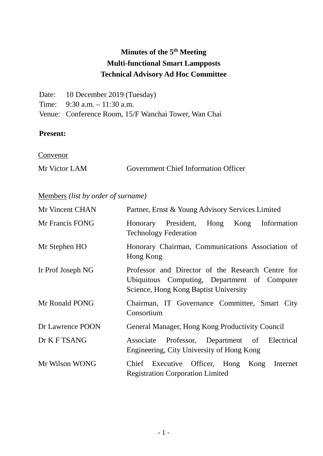# **Minutes of the 5th Meeting Multi-functional Smart Lampposts Technical Advisory Ad Hoc Committee**

| Date: 10 December 2019 (Tuesday)                     |
|------------------------------------------------------|
| Time: $9:30$ a.m. $-11:30$ a.m.                      |
| Venue: Conference Room, 15/F Wanchai Tower, Wan Chai |

## **Present:**

**Convenor** 

| Mr Victor LAM | <b>Government Chief Information Officer</b> |  |
|---------------|---------------------------------------------|--|
|               |                                             |  |

## Members *(list by order of surname)*

| Mr Vincent CHAN   | Partner, Ernst & Young Advisory Services Limited                                                                                           |
|-------------------|--------------------------------------------------------------------------------------------------------------------------------------------|
| Mr Francis FONG   | President,<br>Hong<br>Information<br>Honorary<br>Kong<br><b>Technology Federation</b>                                                      |
| Mr Stephen HO     | Honorary Chairman, Communications Association of<br>Hong Kong                                                                              |
| Ir Prof Joseph NG | Professor and Director of the Research Centre for<br>Ubiquitous Computing, Department of Computer<br>Science, Hong Kong Baptist University |
| Mr Ronald PONG    | Chairman, IT Governance Committee, Smart City<br>Consortium                                                                                |
| Dr Lawrence POON  | General Manager, Hong Kong Productivity Council                                                                                            |
| Dr K F TSANG      | Associate Professor, Department of Electrical<br>Engineering, City University of Hong Kong                                                 |
| Mr Wilson WONG    | Chief Executive Officer, Hong<br>Kong<br>Internet<br><b>Registration Corporation Limited</b>                                               |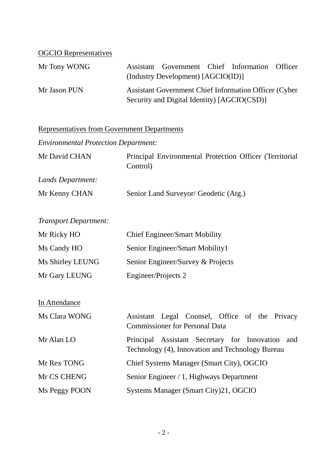## OGCIO Representatives

| Mr Tony WONG | Assistant Government Chief Information Officer                                                               |  |  |
|--------------|--------------------------------------------------------------------------------------------------------------|--|--|
|              | (Industry Development) [AGCIO(ID)]                                                                           |  |  |
| Mr Jason PUN | <b>Assistant Government Chief Information Officer (Cyber)</b><br>Security and Digital Identity) [AGCIO(CSD)] |  |  |

## Representatives from Government Departments

*Environmental Protection Department:*

| Mr David CHAN     | Principal Environmental Protection Officer (Territorial |
|-------------------|---------------------------------------------------------|
|                   | Control)                                                |
| Lands Department: |                                                         |

| Mr Kenny CHAN | Senior Land Surveyor/ Geodetic (Atg.) |
|---------------|---------------------------------------|
|               |                                       |

*Transport Department:*

| Mr Ricky HO      | <b>Chief Engineer/Smart Mobility</b> |
|------------------|--------------------------------------|
| Ms Candy HO      | Senior Engineer/Smart Mobility1      |
| Ms Shirley LEUNG | Senior Engineer/Survey & Projects    |
| Mr Gary LEUNG    | Engineer/Projects 2                  |

In Attendance

| Ms Clara WONG | Assistant Legal Counsel, Office of the Privacy<br><b>Commissioner for Personal Data</b>              |
|---------------|------------------------------------------------------------------------------------------------------|
| Mr Alan LO    | Principal Assistant Secretary for Innovation and<br>Technology (4), Innovation and Technology Bureau |
| Mr Rex TONG   | Chief Systems Manager (Smart City), OGCIO                                                            |
| Mr CS CHENG   | Senior Engineer / 1, Highways Department                                                             |
| Ms Peggy POON | Systems Manager (Smart City)21, OGCIO                                                                |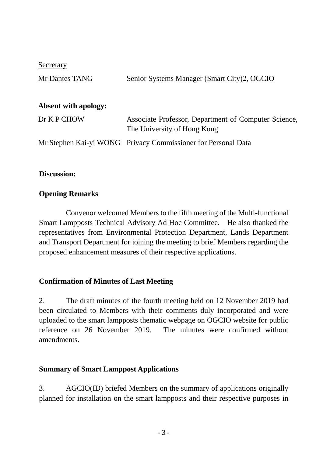**Secretary** 

| Mr Dantes TANG              | Senior Systems Manager (Smart City)2, OGCIO                                         |
|-----------------------------|-------------------------------------------------------------------------------------|
| <b>Absent with apology:</b> |                                                                                     |
| Dr K P CHOW                 | Associate Professor, Department of Computer Science,<br>The University of Hong Kong |
|                             | Mr Stephen Kai-yi WONG Privacy Commissioner for Personal Data                       |

#### **Discussion:**

#### **Opening Remarks**

Convenor welcomed Members to the fifth meeting of the Multi-functional Smart Lampposts Technical Advisory Ad Hoc Committee. He also thanked the representatives from Environmental Protection Department, Lands Department and Transport Department for joining the meeting to brief Members regarding the proposed enhancement measures of their respective applications.

## **Confirmation of Minutes of Last Meeting**

2. The draft minutes of the fourth meeting held on 12 November 2019 had been circulated to Members with their comments duly incorporated and were uploaded to the smart lampposts thematic webpage on OGCIO website for public reference on 26 November 2019. The minutes were confirmed without amendments.

#### **Summary of Smart Lamppost Applications**

3. AGCIO(ID) briefed Members on the summary of applications originally planned for installation on the smart lampposts and their respective purposes in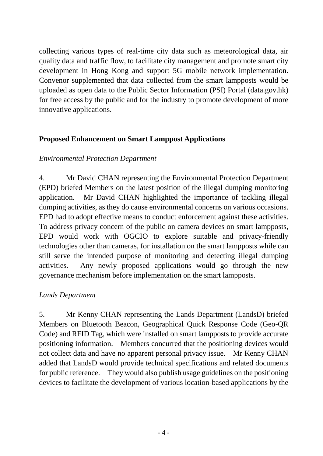collecting various types of real-time city data such as meteorological data, air quality data and traffic flow, to facilitate city management and promote smart city development in Hong Kong and support 5G mobile network implementation. Convenor supplemented that data collected from the smart lampposts would be uploaded as open data to the Public Sector Information (PSI) Portal (data.gov.hk) for free access by the public and for the industry to promote development of more innovative applications.

## **Proposed Enhancement on Smart Lamppost Applications**

## *Environmental Protection Department*

4. Mr David CHAN representing the Environmental Protection Department (EPD) briefed Members on the latest position of the illegal dumping monitoring application. Mr David CHAN highlighted the importance of tackling illegal dumping activities, as they do cause environmental concerns on various occasions. EPD had to adopt effective means to conduct enforcement against these activities. To address privacy concern of the public on camera devices on smart lampposts, EPD would work with OGCIO to explore suitable and privacy-friendly technologies other than cameras, for installation on the smart lampposts while can still serve the intended purpose of monitoring and detecting illegal dumping activities. Any newly proposed applications would go through the new governance mechanism before implementation on the smart lampposts.

## *Lands Department*

5. Mr Kenny CHAN representing the Lands Department (LandsD) briefed Members on Bluetooth Beacon, Geographical Quick Response Code (Geo-QR Code) and RFID Tag, which were installed on smart lampposts to provide accurate positioning information. Members concurred that the positioning devices would not collect data and have no apparent personal privacy issue. Mr Kenny CHAN added that LandsD would provide technical specifications and related documents for public reference. They would also publish usage guidelines on the positioning devices to facilitate the development of various location-based applications by the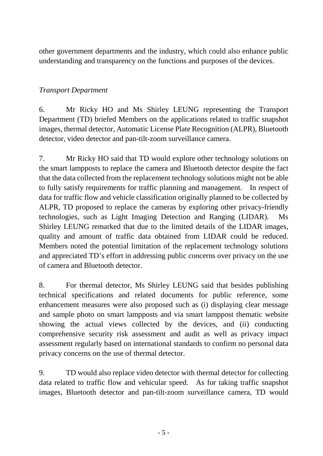other government departments and the industry, which could also enhance public understanding and transparency on the functions and purposes of the devices.

## *Transport Department*

6. Mr Ricky HO and Ms Shirley LEUNG representing the Transport Department (TD) briefed Members on the applications related to traffic snapshot images, thermal detector, Automatic License Plate Recognition (ALPR), Bluetooth detector, video detector and pan-tilt-zoom surveillance camera.

7. Mr Ricky HO said that TD would explore other technology solutions on the smart lampposts to replace the camera and Bluetooth detector despite the fact that the data collected from the replacement technology solutions might not be able to fully satisfy requirements for traffic planning and management. In respect of data for traffic flow and vehicle classification originally planned to be collected by ALPR, TD proposed to replace the cameras by exploring other privacy-friendly technologies, such as Light Imaging Detection and Ranging (LIDAR). Ms Shirley LEUNG remarked that due to the limited details of the LIDAR images, quality and amount of traffic data obtained from LIDAR could be reduced. Members noted the potential limitation of the replacement technology solutions and appreciated TD's effort in addressing public concerns over privacy on the use of camera and Bluetooth detector.

8. For thermal detector, Ms Shirley LEUNG said that besides publishing technical specifications and related documents for public reference, some enhancement measures were also proposed such as (i) displaying clear message and sample photo on smart lampposts and via smart lamppost thematic website showing the actual views collected by the devices, and (ii) conducting comprehensive security risk assessment and audit as well as privacy impact assessment regularly based on international standards to confirm no personal data privacy concerns on the use of thermal detector.

9. TD would also replace video detector with thermal detector for collecting data related to traffic flow and vehicular speed. As for taking traffic snapshot images, Bluetooth detector and pan-tilt-zoom surveillance camera, TD would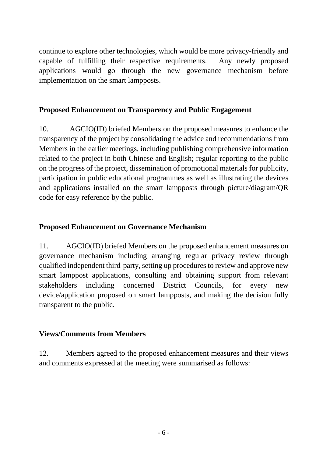continue to explore other technologies, which would be more privacy-friendly and capable of fulfilling their respective requirements. Any newly proposed applications would go through the new governance mechanism before implementation on the smart lampposts.

## **Proposed Enhancement on Transparency and Public Engagement**

10. AGCIO(ID) briefed Members on the proposed measures to enhance the transparency of the project by consolidating the advice and recommendations from Members in the earlier meetings, including publishing comprehensive information related to the project in both Chinese and English; regular reporting to the public on the progress of the project, dissemination of promotional materials for publicity, participation in public educational programmes as well as illustrating the devices and applications installed on the smart lampposts through picture/diagram/QR code for easy reference by the public.

## **Proposed Enhancement on Governance Mechanism**

11. AGCIO(ID) briefed Members on the proposed enhancement measures on governance mechanism including arranging regular privacy review through qualified independent third-party, setting up procedures to review and approve new smart lamppost applications, consulting and obtaining support from relevant stakeholders including concerned District Councils, for every new device/application proposed on smart lampposts, and making the decision fully transparent to the public.

## **Views/Comments from Members**

12. Members agreed to the proposed enhancement measures and their views and comments expressed at the meeting were summarised as follows: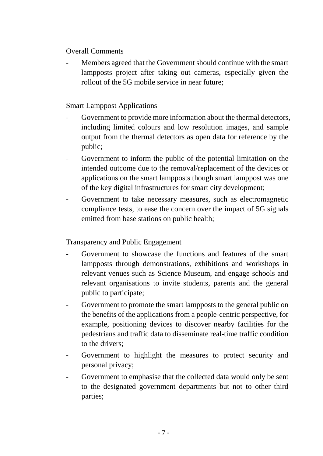#### Overall Comments

Members agreed that the Government should continue with the smart lampposts project after taking out cameras, especially given the rollout of the 5G mobile service in near future;

## Smart Lamppost Applications

- Government to provide more information about the thermal detectors, including limited colours and low resolution images, and sample output from the thermal detectors as open data for reference by the public;
- Government to inform the public of the potential limitation on the intended outcome due to the removal/replacement of the devices or applications on the smart lampposts though smart lamppost was one of the key digital infrastructures for smart city development;
- Government to take necessary measures, such as electromagnetic compliance tests, to ease the concern over the impact of 5G signals emitted from base stations on public health;

Transparency and Public Engagement

- Government to showcase the functions and features of the smart lampposts through demonstrations, exhibitions and workshops in relevant venues such as Science Museum, and engage schools and relevant organisations to invite students, parents and the general public to participate;
- Government to promote the smart lampposts to the general public on the benefits of the applications from a people-centric perspective, for example, positioning devices to discover nearby facilities for the pedestrians and traffic data to disseminate real-time traffic condition to the drivers;
- Government to highlight the measures to protect security and personal privacy;
- Government to emphasise that the collected data would only be sent to the designated government departments but not to other third parties;